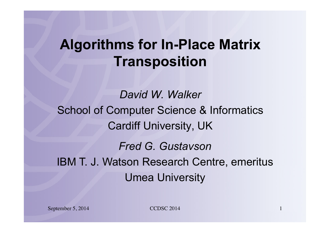#### **Algorithms for In-Place Matrix Transposition**

*David W. Walker*  School of Computer Science & Informatics Cardiff University, UK *Fred G. Gustavson* IBM T. J. Watson Research Centre, emeritus

Umea University

September 5, 2014 1 CCDSC 2014 1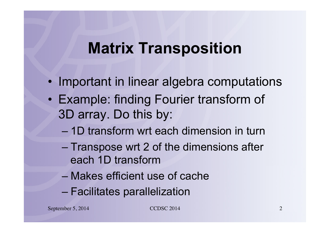#### **Matrix Transposition**

- Important in linear algebra computations
- Example: finding Fourier transform of 3D array. Do this by:
	- 1D transform wrt each dimension in turn
	- Transpose wrt 2 of the dimensions after each 1D transform
	- Makes efficient use of cache
	- Facilitates parallelization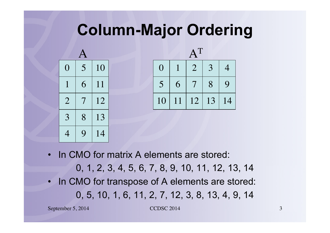### **Column-Major Ordering**



| $\Omega$ |    | $\overline{2}$ | 3  | 4  |
|----------|----|----------------|----|----|
| 5        | 6  |                | 8  | 9  |
| 10       | 11 | 12             | 13 | 14 |

- In CMO for matrix A elements are stored: 0, 1, 2, 3, 4, 5, 6, 7, 8, 9, 10, 11, 12, 13, 14 In CMO for transpose of A elements are stored:
	- 0, 5, 10, 1, 6, 11, 2, 7, 12, 3, 8, 13, 4, 9, 14

September 5, 2014 3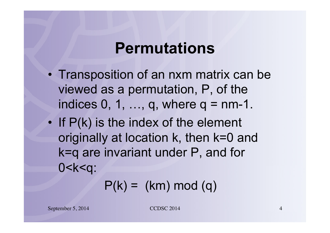#### **Permutations**

- Transposition of an nxm matrix can be viewed as a permutation, P, of the indices  $0, 1, \ldots, q$ , where  $q = nm-1$ .
- If P(k) is the index of the element originally at location k, then k=0 and k=q are invariant under P, and for 0<k<q:

 $P(k) = (km) \mod (q)$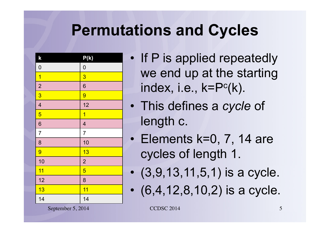# **Permutations and Cycles**

| $\mathsf{k}$            | P(k)                     |
|-------------------------|--------------------------|
| $\boldsymbol{0}$        | $\mathbf{0}$             |
| $\overline{1}$          | $\overline{3}$           |
| $\overline{2}$          | $\overline{6}$           |
| $\overline{3}$          | 9                        |
| $\overline{\mathbf{4}}$ | 12                       |
| $\overline{5}$          | $\overline{1}$           |
| $\overline{6}$          | $\overline{\mathcal{A}}$ |
| $\overline{7}$          | $\overline{7}$           |
| 8                       | 10                       |
| 9                       | 13                       |
| 10                      | $\overline{2}$           |
| 11                      | $\overline{5}$           |
| 12                      | 8                        |
| 13                      | 11                       |
| 14                      | 14                       |

- If P is applied repeatedly we end up at the starting index, i.e.,  $k = P<sup>c</sup>(k)$ .
- This defines a *cycle* of length c.
- Elements k=0, 7, 14 are cycles of length 1.
- $(3, 9, 13, 11, 5, 1)$  is a cycle.
- (6,4,12,8,10,2) is a cycle.

September 5, 2014 5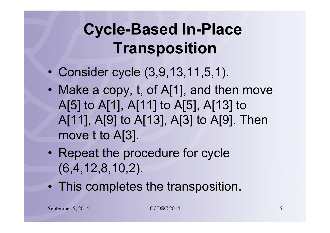# **Cycle-Based In-Place Transposition**

- Consider cycle (3,9,13,11,5,1).
- Make a copy, t, of A[1], and then move A[5] to A[1], A[11] to A[5], A[13] to A[11], A[9] to A[13], A[3] to A[9]. Then move t to A[3].
- Repeat the procedure for cycle (6,4,12,8,10,2).
- This completes the transposition.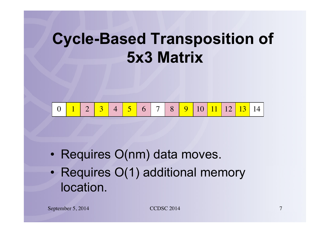### **Cycle-Based Transposition of 5x3 Matrix**



- Requires O(nm) data moves.
- Requires O(1) additional memory location.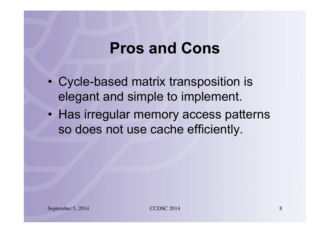#### **Pros and Cons**

- Cycle-based matrix transposition is elegant and simple to implement.
- Has irregular memory access patterns so does not use cache efficiently.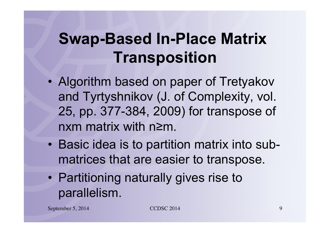# **Swap-Based In-Place Matrix Transposition**

- Algorithm based on paper of Tretyakov and Tyrtyshnikov (J. of Complexity, vol. 25, pp. 377-384, 2009) for transpose of nxm matrix with n≥m.
- Basic idea is to partition matrix into submatrices that are easier to transpose.
- Partitioning naturally gives rise to parallelism.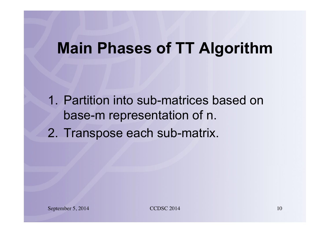#### **Main Phases of TT Algorithm**

1. Partition into sub-matrices based on base-m representation of n.

2. Transpose each sub-matrix.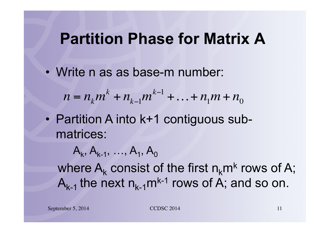#### **Partition Phase for Matrix A**

• Write n as as base-m number:

 $n = n_k m^k + n_{k-1} m^{k-1} + ... + n_1 m + n_0$ 

• Partition A into k+1 contiguous submatrices:

 $A_k, A_{k-1}, \ldots, A_1, A_0$ where  $A_k$  consist of the first  $n_k m^k$  rows of A;  $A_{k-1}$  the next  $n_{k-1}$ m<sup>k-1</sup> rows of A; and so on.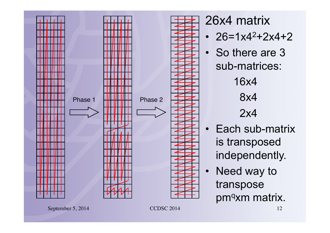

26x4 matrix •  $26=1x4^2+2x4+2$ • So there are 3 sub-matrices: 16x4 8x4 2x4

- Each sub-matrix is transposed independently.
- Need way to transpose pm<sup>q</sup>xm matrix.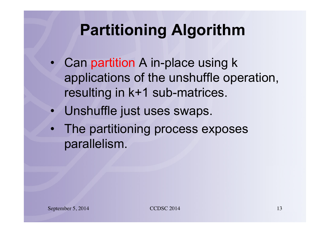# **Partitioning Algorithm**

- Can partition A in-place using k applications of the unshuffle operation, resulting in k+1 sub-matrices.
- Unshuffle just uses swaps.
- The partitioning process exposes parallelism.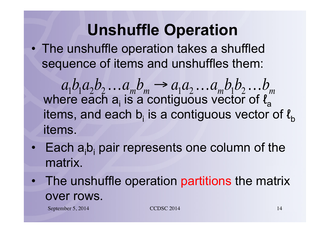# **Unshuffle Operation**

• The unshuffle operation takes a shuffled sequence of items and unshuffles them:

where each  $a_i$  is a contiguous vector of  $\ell_a$ items, and each b<sub>i</sub> is a contiguous vector of  $\mathit{l}_{\mathrm{b}}$ items.  $a_1b_1a_2b_2...a_mb_m \rightarrow a_1a_2...a_mb_1b_2...b_m$ 

- $\cdot$  Each  $a_i b_i$  pair represents one column of the matrix.
- The unshuffle operation partitions the matrix over rows.

September 5, 2014 14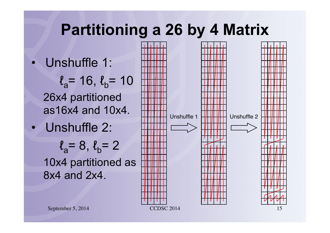#### **Partitioning a 26 by 4 Matrix**

Unshuffle 1:

 $\ell_a$ = 16,  $\ell_b$ = 10 26x4 partitioned as16x4 and 10x4.

• Unshuffle 2:

 $\ell_a=8, \ell_b=2$ 10x4 partitioned as 8x4 and 2x4.



September 5, 2014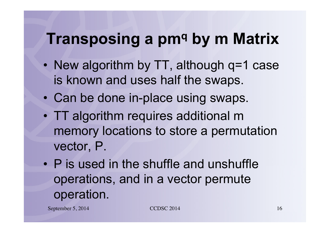### **Transposing a pm<sup>q</sup> by m Matrix**

- New algorithm by TT, although q=1 case is known and uses half the swaps.
- Can be done in-place using swaps.
- TT algorithm requires additional m memory locations to store a permutation vector, P.
- P is used in the shuffle and unshuffle operations, and in a vector permute operation.

September 5, 2014 16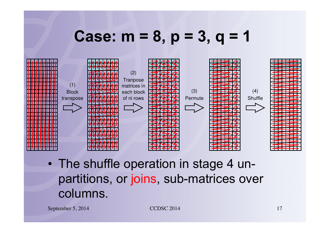#### **Case: m = 8, p = 3, q = 1**



• The shuffle operation in stage 4 unpartitions, or joins, sub-matrices over columns.

September 5, 2014 17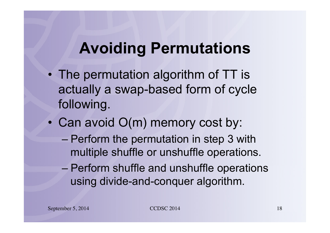# **Avoiding Permutations**

- The permutation algorithm of TT is actually a swap-based form of cycle following.
- Can avoid O(m) memory cost by:
	- Perform the permutation in step 3 with multiple shuffle or unshuffle operations.
	- Perform shuffle and unshuffle operations using divide-and-conquer algorithm.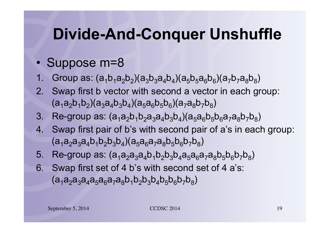### **Divide-And-Conquer Unshuffle**

#### • Suppose m=8

- Group as:  $(a_1b_1a_2b_2)(a_3b_3a_4b_4)(a_5b_5a_6b_6)(a_7b_7a_8b_8)$
- 2. Swap first b vector with second a vector in each group:  $(a_1a_2b_1b_2)(a_3a_4b_3b_4)(a_5a_6b_5b_6)(a_7a_8b_7b_8)$
- 3. Re-group as:  $(a_1a_2b_1b_2a_3a_4b_3b_4)(a_5a_6b_5b_6a_7a_8b_7b_8)$
- 4. Swap first pair of b's with second pair of a's in each group:  $(a_1a_2a_3a_4b_1b_2b_3b_4)(a_5a_6a_7a_8b_5b_6b_7b_8)$
- 5. Re-group as:  $(a_1a_2a_3a_4b_1b_2b_3b_4a_5a_6a_7a_8b_5b_6b_7b_8)$
- 6. Swap first set of 4 b's with second set of 4 a's:  $(a_1a_2a_3a_4a_5a_6a_7a_8b_1b_2b_3b_4b_5b_6b_7b_8)$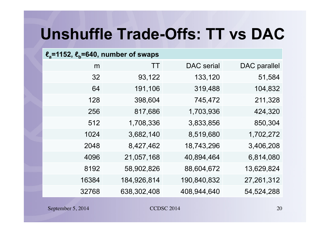# **Unshuffle Trade-Offs: TT vs DAC**

| $\ell$ <sub>a</sub> =1152, $\ell$ <sub>b</sub> =640, number of swaps |             |                   |              |
|----------------------------------------------------------------------|-------------|-------------------|--------------|
| m                                                                    | TT          | <b>DAC</b> serial | DAC parallel |
| 32                                                                   | 93,122      | 133,120           | 51,584       |
| 64                                                                   | 191,106     | 319,488           | 104,832      |
| 128                                                                  | 398,604     | 745,472           | 211,328      |
| 256                                                                  | 817,686     | 1,703,936         | 424,320      |
| 512                                                                  | 1,708,336   | 3,833,856         | 850,304      |
| 1024                                                                 | 3,682,140   | 8,519,680         | 1,702,272    |
| 2048                                                                 | 8,427,462   | 18,743,296        | 3,406,208    |
| 4096                                                                 | 21,057,168  | 40,894,464        | 6,814,080    |
| 8192                                                                 | 58,902,826  | 88,604,672        | 13,629,824   |
| 16384                                                                | 184,926,814 | 190,840,832       | 27,261,312   |
| 32768                                                                | 638,302,408 | 408,944,640       | 54,524,288   |
|                                                                      |             |                   |              |

September 5, 2014 CCDSC 2014 20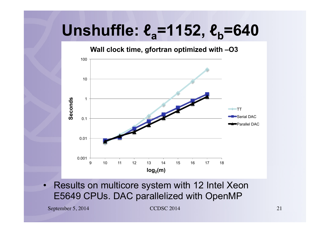# $Unshuffle:  $\ell_a = 1152$ ,  $\ell_b = 640$$

**Wall clock time, gfortran optimized with –O3** 



Results on multicore system with 12 Intel Xeon E5649 CPUs. DAC parallelized with OpenMP

September 5, 2014 21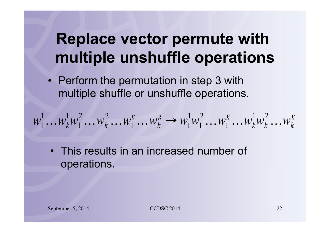# **Replace vector permute with multiple unshuffle operations**

• Perform the permutation in step 3 with multiple shuffle or unshuffle operations.

$$
w_1^1 \dots w_k^1 w_1^2 \dots w_k^2 \dots w_1^g \dots w_k^g \rightarrow w_1^1 w_1^2 \dots w_1^g \dots w_k^1 w_k^2 \dots w_k^g
$$

• This results in an increased number of operations.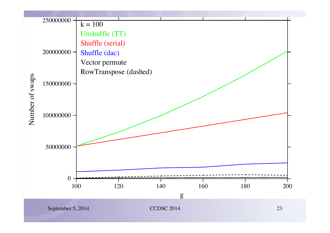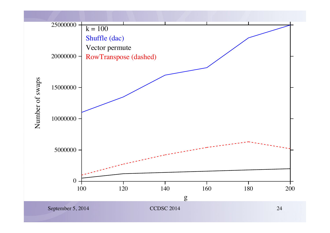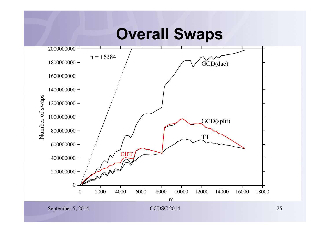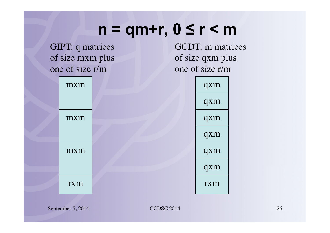#### **n = qm+r, 0 ≤ r < m**

GIPT: q matrices of size mxm plus one of size r/m

GCDT: m matrices of size qxm plus one of size r/m



September 5, 2014 CCDSC 2014 26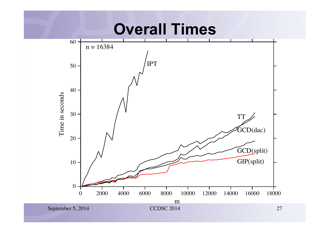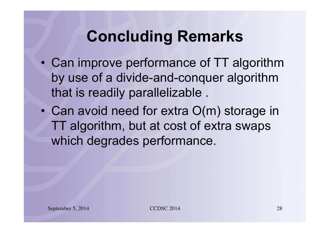# **Concluding Remarks**

- Can improve performance of TT algorithm by use of a divide-and-conquer algorithm that is readily parallelizable .
- Can avoid need for extra O(m) storage in TT algorithm, but at cost of extra swaps which degrades performance.